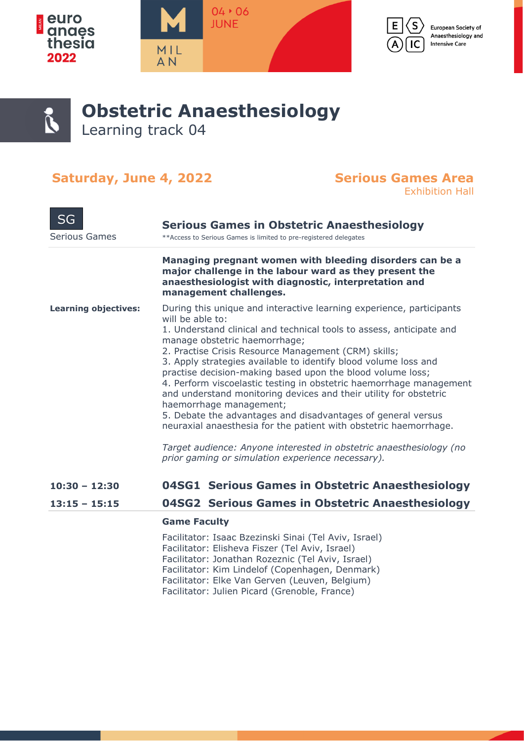



European Society of Anaesthesiology and **Intensive Care** 



### **Obstetric Anaesthesiology** Learning track 04

### Saturday, June 4, 2022 Serious Games Area

## Exhibition Hall

| <b>SG</b>                   | <b>Serious Games in Obstetric Anaesthesiology</b>                                                                                                                                                                                                                                                                                                                                                                                                                                                                                                                                                                                                                                                                                                                                                                                  |
|-----------------------------|------------------------------------------------------------------------------------------------------------------------------------------------------------------------------------------------------------------------------------------------------------------------------------------------------------------------------------------------------------------------------------------------------------------------------------------------------------------------------------------------------------------------------------------------------------------------------------------------------------------------------------------------------------------------------------------------------------------------------------------------------------------------------------------------------------------------------------|
| <b>Serious Games</b>        | ** Access to Serious Games is limited to pre-registered delegates                                                                                                                                                                                                                                                                                                                                                                                                                                                                                                                                                                                                                                                                                                                                                                  |
|                             | Managing pregnant women with bleeding disorders can be a<br>major challenge in the labour ward as they present the<br>anaesthesiologist with diagnostic, interpretation and<br>management challenges.                                                                                                                                                                                                                                                                                                                                                                                                                                                                                                                                                                                                                              |
| <b>Learning objectives:</b> | During this unique and interactive learning experience, participants<br>will be able to:<br>1. Understand clinical and technical tools to assess, anticipate and<br>manage obstetric haemorrhage;<br>2. Practise Crisis Resource Management (CRM) skills;<br>3. Apply strategies available to identify blood volume loss and<br>practise decision-making based upon the blood volume loss;<br>4. Perform viscoelastic testing in obstetric haemorrhage management<br>and understand monitoring devices and their utility for obstetric<br>haemorrhage management;<br>5. Debate the advantages and disadvantages of general versus<br>neuraxial anaesthesia for the patient with obstetric haemorrhage.<br>Target audience: Anyone interested in obstetric anaesthesiology (no<br>prior gaming or simulation experience necessary). |
| $10:30 - 12:30$             | 04SG1 Serious Games in Obstetric Anaesthesiology                                                                                                                                                                                                                                                                                                                                                                                                                                                                                                                                                                                                                                                                                                                                                                                   |
| $13:15 - 15:15$             | 04SG2 Serious Games in Obstetric Anaesthesiology                                                                                                                                                                                                                                                                                                                                                                                                                                                                                                                                                                                                                                                                                                                                                                                   |
|                             | <b>Game Faculty</b>                                                                                                                                                                                                                                                                                                                                                                                                                                                                                                                                                                                                                                                                                                                                                                                                                |
|                             | Facilitator: Isaac Bzezinski Sinai (Tel Aviv, Israel)<br>Facilitator: Elisheva Fiszer (Tel Aviv, Israel)<br>Facilitator: Jonathan Rozeznic (Tel Aviv, Israel)<br>Facilitator: Kim Lindelof (Copenhagen, Denmark)<br>Facilitator: Elke Van Gerven (Leuven, Belgium)<br>Facilitator: Julien Picard (Grenoble, France)                                                                                                                                                                                                                                                                                                                                                                                                                                                                                                                |